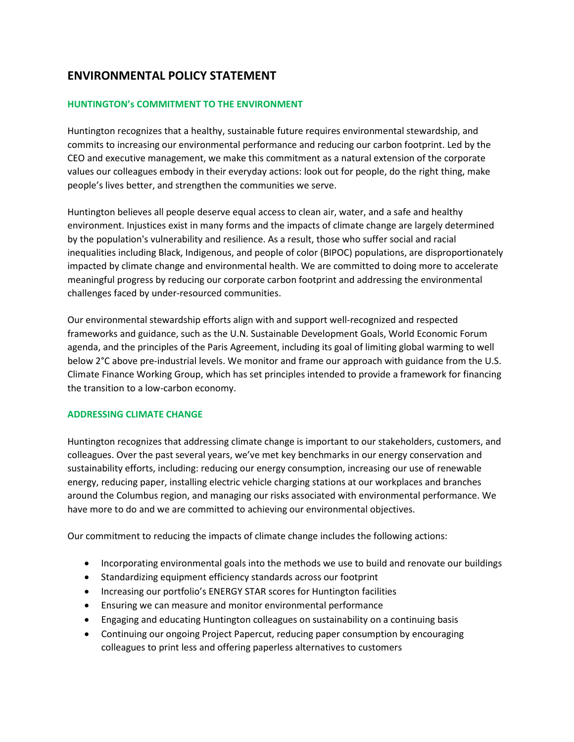# **ENVIRONMENTAL POLICY STATEMENT**

## **HUNTINGTON's COMMITMENT TO THE ENVIRONMENT**

Huntington recognizes that a healthy, sustainable future requires environmental stewardship, and commits to increasing our environmental performance and reducing our carbon footprint. Led by the CEO and executive management, we make this commitment as a natural extension of the corporate values our colleagues embody in their everyday actions: look out for people, do the right thing, make people's lives better, and strengthen the communities we serve.

Huntington believes all people deserve equal access to clean air, water, and a safe and healthy environment. Injustices exist in many forms and the impacts of climate change are largely determined by the population's vulnerability and resilience. As a result, those who suffer social and racial inequalities including Black, Indigenous, and people of color (BIPOC) populations, are disproportionately impacted by climate change and environmental health. We are committed to doing more to accelerate meaningful progress by reducing our corporate carbon footprint and addressing the environmental challenges faced by under-resourced communities.

Our environmental stewardship efforts align with and support well-recognized and respected frameworks and guidance, such as the U.N. Sustainable Development Goals, World Economic Forum agenda, and the principles of the Paris Agreement, including its goal of limiting global warming to well below 2°C above pre-industrial levels. We monitor and frame our approach with guidance from the U.S. Climate Finance Working Group, which has set principles intended to provide a framework for financing the transition to a low-carbon economy.

#### **ADDRESSING CLIMATE CHANGE**

Huntington recognizes that addressing climate change is important to our stakeholders, customers, and colleagues. Over the past several years, we've met key benchmarks in our energy conservation and sustainability efforts, including: reducing our energy consumption, increasing our use of renewable energy, reducing paper, installing electric vehicle charging stations at our workplaces and branches around the Columbus region, and managing our risks associated with environmental performance. We have more to do and we are committed to achieving our environmental objectives.

Our commitment to reducing the impacts of climate change includes the following actions:

- Incorporating environmental goals into the methods we use to build and renovate our buildings
- Standardizing equipment efficiency standards across our footprint
- Increasing our portfolio's ENERGY STAR scores for Huntington facilities
- Ensuring we can measure and monitor environmental performance
- Engaging and educating Huntington colleagues on sustainability on a continuing basis
- Continuing our ongoing Project Papercut, reducing paper consumption by encouraging colleagues to print less and offering paperless alternatives to customers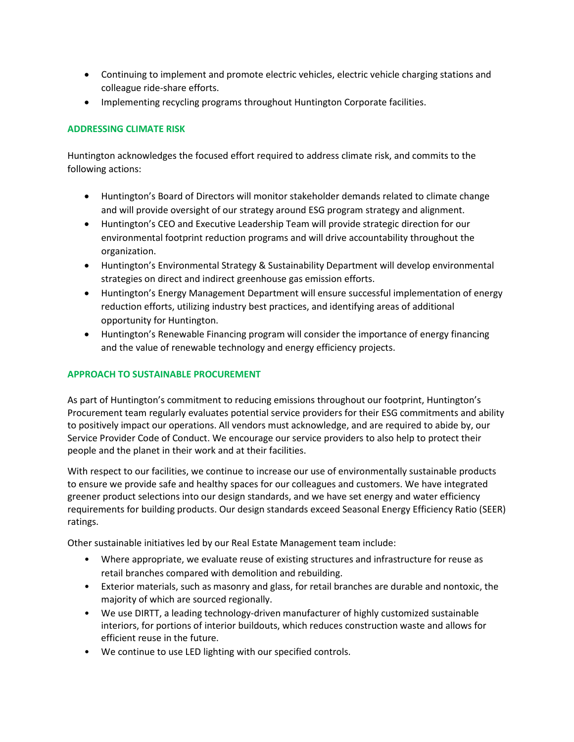- Continuing to implement and promote electric vehicles, electric vehicle charging stations and colleague ride-share efforts.
- Implementing recycling programs throughout Huntington Corporate facilities.

# **ADDRESSING CLIMATE RISK**

Huntington acknowledges the focused effort required to address climate risk, and commits to the following actions:

- Huntington's Board of Directors will monitor stakeholder demands related to climate change and will provide oversight of our strategy around ESG program strategy and alignment.
- Huntington's CEO and Executive Leadership Team will provide strategic direction for our environmental footprint reduction programs and will drive accountability throughout the organization.
- Huntington's Environmental Strategy & Sustainability Department will develop environmental strategies on direct and indirect greenhouse gas emission efforts.
- Huntington's Energy Management Department will ensure successful implementation of energy reduction efforts, utilizing industry best practices, and identifying areas of additional opportunity for Huntington.
- Huntington's Renewable Financing program will consider the importance of energy financing and the value of renewable technology and energy efficiency projects.

## **APPROACH TO SUSTAINABLE PROCUREMENT**

As part of Huntington's commitment to reducing emissions throughout our footprint, Huntington's Procurement team regularly evaluates potential service providers for their ESG commitments and ability to positively impact our operations. All vendors must acknowledge, and are required to abide by, our Service Provider Code of Conduct. We encourage our service providers to also help to protect their people and the planet in their work and at their facilities.

With respect to our facilities, we continue to increase our use of environmentally sustainable products to ensure we provide safe and healthy spaces for our colleagues and customers. We have integrated greener product selections into our design standards, and we have set energy and water efficiency requirements for building products. Our design standards exceed Seasonal Energy Efficiency Ratio (SEER) ratings.

Other sustainable initiatives led by our Real Estate Management team include:

- Where appropriate, we evaluate reuse of existing structures and infrastructure for reuse as retail branches compared with demolition and rebuilding.
- Exterior materials, such as masonry and glass, for retail branches are durable and nontoxic, the majority of which are sourced regionally.
- We use DIRTT, a leading technology-driven manufacturer of highly customized sustainable interiors, for portions of interior buildouts, which reduces construction waste and allows for efficient reuse in the future.
- We continue to use LED lighting with our specified controls.